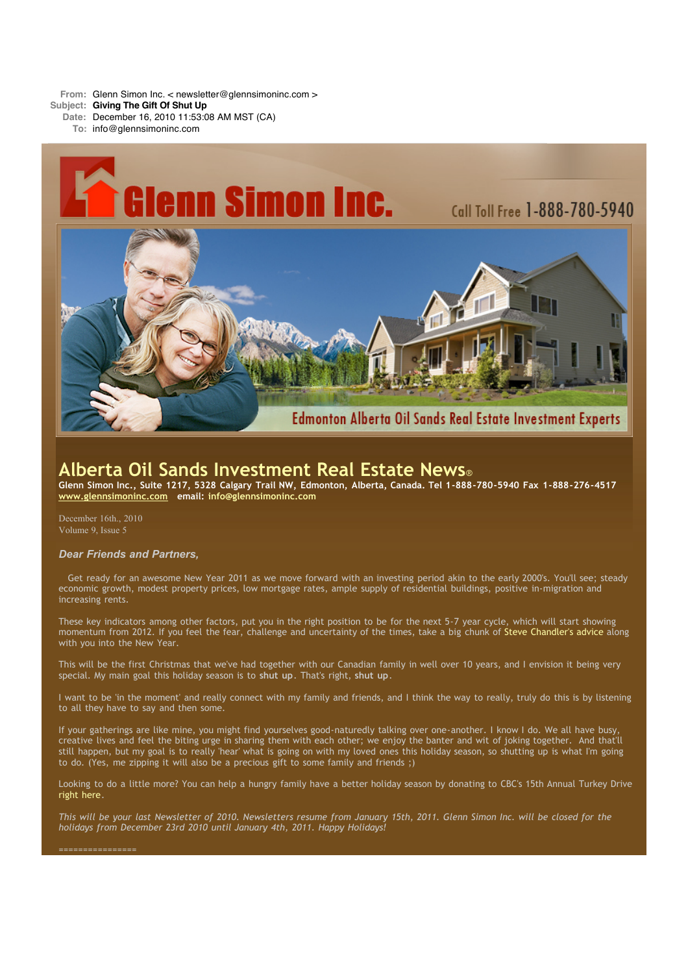**From:** Glenn Simon Inc. < newsletter@glennsimoninc.com >

- **Subject: Giving The Gift Of Shut Up**
	- **Date:** December 16, 2010 11:53:08 AM MST (CA)
		- **To:** info@glennsimoninc.com



# **Alberta Oil Sands Investment Real Estate News**®

Glenn Simon Inc., Suite 1217, 5328 Calgary Trail NW, Edmonton, Alberta, Canada. Tel 1-888-780-5940 Fax 1-888-276-4517 **[www.glennsimoninc.com](http://www.glennsimoninc.com/) email: [info@glennsimoninc.com](mailto:info@glennsimoninc.com)**

December 16th., 2010 Volume 9, Issue 5

## *Dear Friends and Partners,*

Get ready for an awesome New Year 2011 as we move forward with an investing period akin to the early 2000's. You'll see; steady economic growth, modest property prices, low mortgage rates, ample supply of residential buildings, positive in-migration and increasing rents.

These key indicators among other factors, put you in the right position to be for the next 5-7 year cycle, which will start showing momentum from 2012. If you feel the fear, challenge and uncertainty of the times, take a big chunk of Steve [Chandler's](http://www.box.net/shared/8156c7kr5m) advice along with you into the New Year.

This will be the first Christmas that we've had together with our Canadian family in well over 10 years, and I envision it being very special. My main goal this holiday season is to **shut up**. That's right, **shut up**.

I want to be 'in the moment' and really connect with my family and friends, and I think the way to really, truly do this is by listening to all they have to say and then some.

If your gatherings are like mine, you might find yourselves good-naturedly talking over one-another. I know I do. We all have busy, creative lives and feel the biting urge in sharing them with each other; we enjoy the banter and wit of joking together. And that'll still happen, but my goal is to really 'hear' what is going on with my loved ones this holiday season, so shutting up is what I'm going to do. (Yes, me zipping it will also be a precious gift to some family and friends ;)

Looking to do a little more? You can help a hungry family have a better holiday season by donating to CBC's 15th Annual Turkey Drive right [here.](http://www.cbc.ca/edmonton/features/turkeydrive/)

This will be your last Newsletter of 2010. Newsletters resume from January 15th, 2011. Glenn Simon Inc. will be closed for the *holidays from December 23rd 2010 until January 4th, 2011. Happy Holidays!*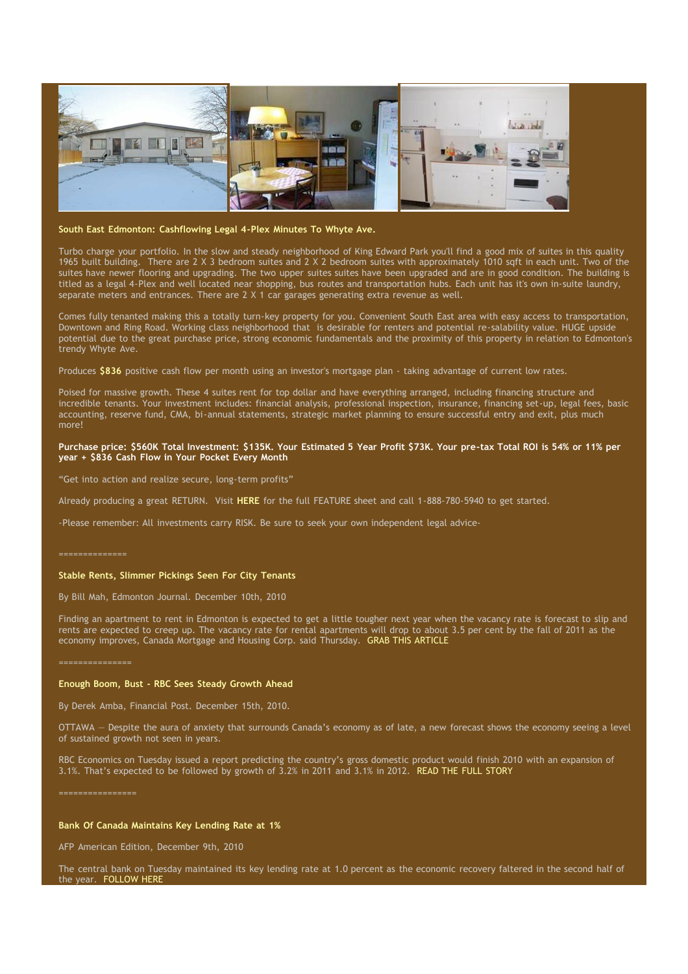

### **South East Edmonton: [Cashflowing](http://www.glennsimoninc.com/featured_detail.php?id=77) Legal 4-Plex Minutes To Whyte Ave.**

Turbo charge your portfolio. In the slow and steady neighborhood of King Edward Park you'll find a good mix of suites in this quality 1965 built building. There are 2 X 3 bedroom suites and 2 X 2 bedroom suites with approximately 1010 sqft in each unit. Two of the suites have newer flooring and upgrading. The two upper suites suites have been upgraded and are in good condition. The building is titled as a legal 4-Plex and well located near shopping, bus routes and transportation hubs. Each unit has it's own in-suite laundry, separate meters and entrances. There are 2 X 1 car garages generating extra revenue as well.

Comes fully tenanted making this a totally turn-key property for you. Convenient South East area with easy access to transportation, Downtown and Ring Road. Working class neighborhood that is desirable for renters and potential re-salability value. HUGE upside potential due to the great purchase price, strong economic fundamentals and the proximity of this property in relation to Edmonton's trendy Whyte Ave.

Produces **[\\$836](http://www.glennsimoninc.com/featured_detail.php?id=77)** positive cash flow per month using an investor's mortgage plan - taking advantage of current low rates.

Poised for massive growth. These 4 suites rent for top dollar and have everything arranged, including financing structure and incredible tenants. Your investment includes: financial analysis, professional inspection, insurance, financing set-up, legal fees, basic accounting, reserve fund, CMA, bi-annual statements, strategic market planning to ensure successful entry and exit, plus much more!

## Purchase price: \$560K Total [Investment:](http://www.glennsimoninc.com/featured_detail.php?id=77) \$135K. Your Estimated 5 Year Profit \$73K. Your pre-tax Total ROI is 54% or 11% per **year + \$836 Cash Flow in Your Pocket Every Month**

"Get into action and realize secure, long-term profits"

Already producing a great RETURN. Visit **[HERE](http://www.glennsimoninc.com/featured_detail.php?id=77)** for the full FEATURE sheet and call 1-888-780-5940 to get started.

-Please remember: All investments carry RISK. Be sure to seek your own independent legal advice-

==============

## **Stable Rents, Slimmer Pickings Seen For City Tenants**

By Bill Mah, Edmonton Journal. December 10th, 2010

Finding an apartment to rent in Edmonton is expected to get a little tougher next year when the vacancy rate is forecast to slip and rents are expected to creep up. The vacancy rate for rental apartments will drop to about 3.5 per cent by the fall of 2011 as the economy improves, Canada Mortgage and Housing Corp. said Thursday. GRAB THIS [ARTICLE](http://www.edmontonjournal.com/Stable+rents+slimmer+pickings+seen+city+tenants/3956619/story.html#ixzz18IcgOhzl)

### **Enough Boom, Bust - RBC Sees Steady Growth Ahead**

By Derek Amba, Financial Post. December 15th, 2010.

OTTAWA — Despite the aura of anxiety that surrounds Canada's economy as of late, a new forecast shows the economy seeing a level of sustained growth not seen in years.

RBC Economics on Tuesday issued a report predicting the country's gross domestic product would finish 2010 with an expansion of 3.1%. That's expected to be followed by growth of 3.2% in 2011 and 3.1% in 2012. READ THE FULL [STORY](http://www.edmontonjournal.com/business/Enough+boom+bust+sees+steady+growth+ahead/3980426/story.html#ixzz18Ic29iii)

### **Bank Of Canada Maintains Key Lending Rate at 1%**

AFP American Edition, December 9th, 2010

The central bank on Tuesday maintained its key lending rate at 1.0 percent as the economic recovery faltered in the second half of the year. [FOLLOW](http://inform.com/politics/bank-canada-maintains-key-lending-rate-10-percent-4708102a) HERE